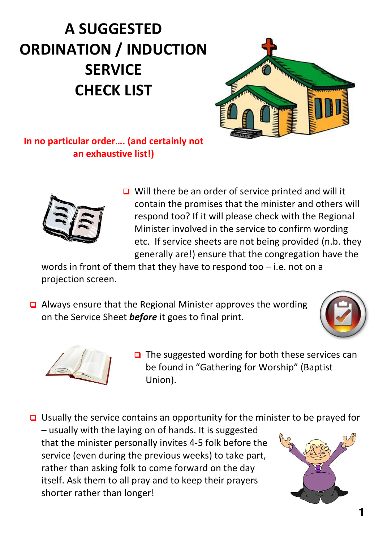## A SUGGESTED ORDINATION / INDUCTION **SERVICE** CHECK LIST



In no particular order…. (and certainly not an exhaustive list!)



 $\Box$  Will there be an order of service printed and will it contain the promises that the minister and others will respond too? If it will please check with the Regional Minister involved in the service to confirm wording etc. If service sheets are not being provided (n.b. they generally are!) ensure that the congregation have the

words in front of them that they have to respond too – i.e. not on a projection screen.

 Always ensure that the Regional Minister approves the wording on the Service Sheet **before** it goes to final print.





 $\Box$  The suggested wording for both these services can be found in "Gathering for Worship" (Baptist Union).

 $\Box$  Usually the service contains an opportunity for the minister to be prayed for – usually with the laying on of hands. It is suggested that the minister personally invites 4-5 folk before the service (even during the previous weeks) to take part, rather than asking folk to come forward on the day itself. Ask them to all pray and to keep their prayers shorter rather than longer!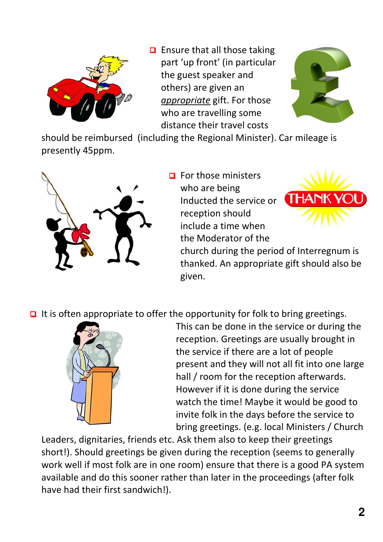

 $\Box$  Ensure that all those taking part 'up front' (in particular the guest speaker and others) are given an appropriate gift. For those who are travelling some distance their travel costs



should be reimbursed (including the Regional Minister). Car mileage is presently 45ppm.



 $\Box$  For those ministers who are being Inducted the service or reception should include a time when the Moderator of the



church during the period of Interregnum is thanked. An appropriate gift should also be given.

 $\Box$  It is often appropriate to offer the opportunity for folk to bring greetings.



This can be done in the service or during the reception. Greetings are usually brought in the service if there are a lot of people present and they will not all fit into one large hall / room for the reception afterwards. However if it is done during the service watch the time! Maybe it would be good to invite folk in the days before the service to bring greetings. (e.g. local Ministers / Church

Leaders, dignitaries, friends etc. Ask them also to keep their greetings short!). Should greetings be given during the reception (seems to generally work well if most folk are in one room) ensure that there is a good PA system available and do this sooner rather than later in the proceedings (after folk have had their first sandwich!).